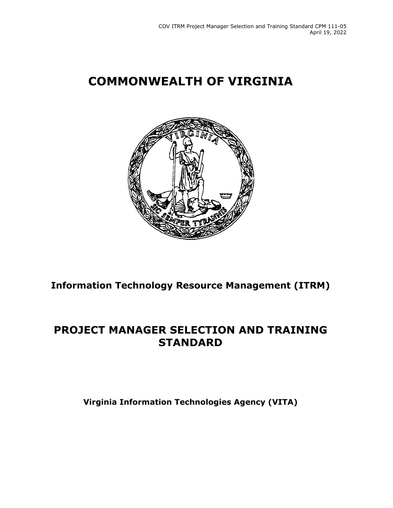# **COMMONWEALTH OF VIRGINIA**



**Information Technology Resource Management (ITRM)**

## **PROJECT MANAGER SELECTION AND TRAINING STANDARD**

**Virginia Information Technologies Agency (VITA)**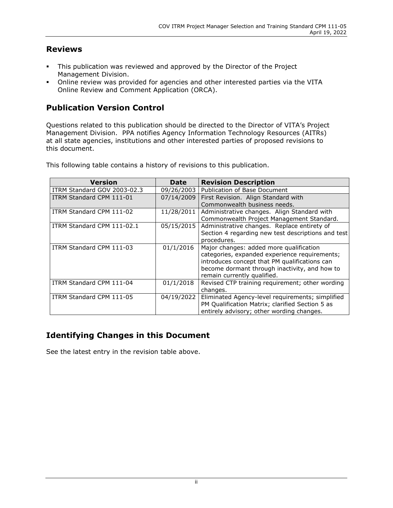#### **Reviews**

- This publication was reviewed and approved by the Director of the Project Management Division.
- Online review was provided for agencies and other interested parties via the VITA Online Review and Comment Application (ORCA).

#### **Publication Version Control**

Questions related to this publication should be directed to the Director of VITA's Project Management Division. PPA notifies Agency Information Technology Resources (AITRs) at all state agencies, institutions and other interested parties of proposed revisions to this document.

| <b>Version</b>              | Date       | <b>Revision Description</b>                        |
|-----------------------------|------------|----------------------------------------------------|
| ITRM Standard GOV 2003-02.3 | 09/26/2003 | Publication of Base Document                       |
| ITRM Standard CPM 111-01    | 07/14/2009 | First Revision. Align Standard with                |
|                             |            | Commonwealth business needs.                       |
| ITRM Standard CPM 111-02    | 11/28/2011 | Administrative changes. Align Standard with        |
|                             |            | Commonwealth Project Management Standard.          |
| ITRM Standard CPM 111-02.1  | 05/15/2015 | Administrative changes. Replace entirety of        |
|                             |            | Section 4 regarding new test descriptions and test |
|                             |            | procedures.                                        |
| ITRM Standard CPM 111-03    | 01/1/2016  | Major changes: added more qualification            |
|                             |            | categories, expanded experience requirements;      |
|                             |            | introduces concept that PM qualifications can      |
|                             |            | become dormant through inactivity, and how to      |
|                             |            | remain currently qualified.                        |
| ITRM Standard CPM 111-04    | 01/1/2018  | Revised CTP training requirement; other wording    |
|                             |            | changes.                                           |
| ITRM Standard CPM 111-05    | 04/19/2022 | Eliminated Agency-level requirements; simplified   |
|                             |            | PM Qualification Matrix; clarified Section 5 as    |
|                             |            | entirely advisory; other wording changes.          |

This following table contains a history of revisions to this publication.

### **Identifying Changes in this Document**

See the latest entry in the revision table above.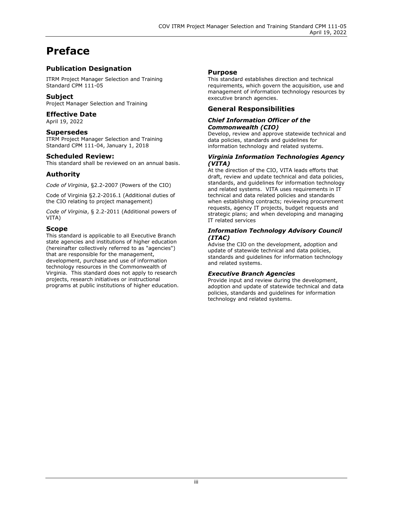# **Preface**

#### **Publication Designation**

ITRM Project Manager Selection and Training Standard CPM 111-05

#### **Subject**

Project Manager Selection and Training

#### **Effective Date**

April 19, 2022

#### **Supersedes**

ITRM Project Manager Selection and Training Standard CPM 111-04, January 1, 2018

#### **Scheduled Review:**

This standard shall be reviewed on an annual basis.

#### **Authority**

*Code of Virginia*, §2.2-2007 (Powers of the CIO)

Code of Virginia §2.2-2016.1 (Additional duties of the CIO relating to project management)

*Code of Virginia*, § 2.2-2011 (Additional powers of VITA)

#### **Scope**

This standard is applicable to all Executive Branch state agencies and institutions of higher education (hereinafter collectively referred to as "agencies") that are responsible for the management, development, purchase and use of information technology resources in the Commonwealth of Virginia. This standard does not apply to research projects, research initiatives or instructional programs at public institutions of higher education.

#### **Purpose**

This standard establishes direction and technical requirements, which govern the acquisition, use and management of information technology resources by executive branch agencies.

#### **General Responsibilities**

#### *Chief Information Officer of the Commonwealth (CIO)*

Develop, review and approve statewide technical and data policies, standards and guidelines for information technology and related systems.

#### *Virginia Information Technologies Agency (VITA)*

At the direction of the CIO, VITA leads efforts that draft, review and update technical and data policies, standards, and guidelines for information technology and related systems. VITA uses requirements in IT technical and data related policies and standards when establishing contracts; reviewing procurement requests, agency IT projects, budget requests and strategic plans; and when developing and managing IT related services

#### *Information Technology Advisory Council (ITAC)*

Advise the CIO on the development, adoption and update of statewide technical and data policies, standards and guidelines for information technology and related systems.

#### *Executive Branch Agencies*

Provide input and review during the development, adoption and update of statewide technical and data policies, standards and guidelines for information technology and related systems.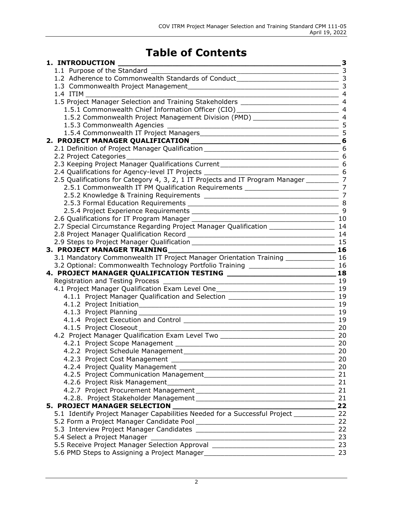# **Table of Contents**

| 1. INTRODUCTION                                                                                                                                                  | $\overline{\phantom{0}}$ 3 |
|------------------------------------------------------------------------------------------------------------------------------------------------------------------|----------------------------|
| 1.1 Purpose of the Standard                                                                                                                                      | $\sim$ 3                   |
|                                                                                                                                                                  |                            |
|                                                                                                                                                                  |                            |
| 1.4 ITIM                                                                                                                                                         |                            |
| 1.5 Project Manager Selection and Training Stakeholders _________________________ 4                                                                              |                            |
| 1.5.1 Commonwealth Chief Information Officer (CIO) ______________________________ 4                                                                              |                            |
| 1.5.2 Commonwealth Project Management Division (PMD) ___________________________ 4                                                                               |                            |
|                                                                                                                                                                  |                            |
|                                                                                                                                                                  |                            |
|                                                                                                                                                                  |                            |
| 2.1 Definition of Project Manager Qualification _________________________________ 6                                                                              |                            |
|                                                                                                                                                                  |                            |
| 2.3 Keeping Project Manager Qualifications Current ______________________________ 6                                                                              |                            |
|                                                                                                                                                                  |                            |
| 2.5 Qualifications for Category 4, 3, 2, 1 IT Projects and IT Program Manager __________ 7                                                                       |                            |
| 2.5.1 Commonwealth IT PM Qualification Requirements _____________________________ 7                                                                              |                            |
|                                                                                                                                                                  |                            |
|                                                                                                                                                                  |                            |
|                                                                                                                                                                  |                            |
|                                                                                                                                                                  |                            |
| 2.7 Special Circumstance Regarding Project Manager Qualification _____________________ 14                                                                        |                            |
|                                                                                                                                                                  |                            |
|                                                                                                                                                                  |                            |
|                                                                                                                                                                  | $\sim$ 16                  |
| 3.1 Mandatory Commonwealth IT Project Manager Orientation Training ______________ 16                                                                             |                            |
| 3.2 Optional: Commonwealth Technology Portfolio Training _______________________ 16                                                                              |                            |
|                                                                                                                                                                  | 18                         |
|                                                                                                                                                                  |                            |
|                                                                                                                                                                  |                            |
|                                                                                                                                                                  |                            |
|                                                                                                                                                                  |                            |
|                                                                                                                                                                  |                            |
|                                                                                                                                                                  |                            |
| 4.1.5 Project Closeout                                                                                                                                           | 20                         |
| 4.2 Project Manager Qualification Exam Level Two _______________________________                                                                                 | 20                         |
| 4.2.1 Project Scope Management                                                                                                                                   | 20                         |
|                                                                                                                                                                  | 20                         |
|                                                                                                                                                                  | 20                         |
|                                                                                                                                                                  |                            |
|                                                                                                                                                                  |                            |
|                                                                                                                                                                  |                            |
|                                                                                                                                                                  |                            |
|                                                                                                                                                                  |                            |
| 5. PROJECT MANAGER SELECTION __________<br><u> 1980 - Johann John Stein, markin fyrir yr y brenin y brenin y brenin y brenin y brenin y brenin y brenin y br</u> | 22                         |
| 5.1 Identify Project Manager Capabilities Needed for a Successful Project ____________ 22                                                                        |                            |
|                                                                                                                                                                  |                            |
|                                                                                                                                                                  |                            |
|                                                                                                                                                                  |                            |
|                                                                                                                                                                  |                            |
|                                                                                                                                                                  |                            |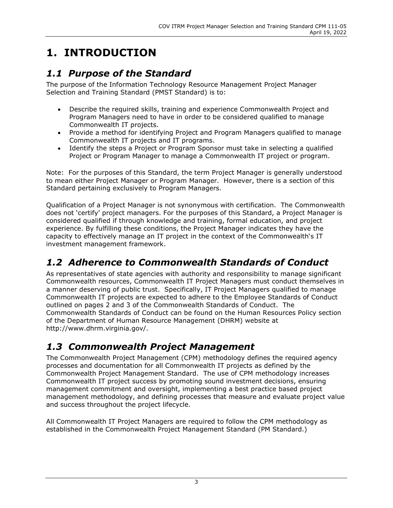# <span id="page-4-0"></span>**1. INTRODUCTION**

## <span id="page-4-1"></span>*1.1 Purpose of the Standard*

The purpose of the Information Technology Resource Management Project Manager Selection and Training Standard (PMST Standard) is to:

- Describe the required skills, training and experience Commonwealth Project and Program Managers need to have in order to be considered qualified to manage Commonwealth IT projects.
- Provide a method for identifying Project and Program Managers qualified to manage Commonwealth IT projects and IT programs.
- Identify the steps a Project or Program Sponsor must take in selecting a qualified Project or Program Manager to manage a Commonwealth IT project or program.

Note: For the purposes of this Standard, the term Project Manager is generally understood to mean either Project Manager or Program Manager. However, there is a section of this Standard pertaining exclusively to Program Managers.

Qualification of a Project Manager is not synonymous with certification. The Commonwealth does not 'certify' project managers. For the purposes of this Standard, a Project Manager is considered qualified if through knowledge and training, formal education, and project experience. By fulfilling these conditions, the Project Manager indicates they have the capacity to effectively manage an IT project in the context of the Commonwealth's IT investment management framework.

# <span id="page-4-2"></span>*1.2 Adherence to Commonwealth Standards of Conduct*

As representatives of state agencies with authority and responsibility to manage significant Commonwealth resources, Commonwealth IT Project Managers must conduct themselves in a manner deserving of public trust. Specifically, IT Project Managers qualified to manage Commonwealth IT projects are expected to adhere to the Employee Standards of Conduct outlined on pages 2 and 3 of the Commonwealth Standards of Conduct. The Commonwealth Standards of Conduct can be found on the Human Resources Policy section of the Department of Human Resource Management (DHRM) website at http://www.dhrm.virginia.gov/.

## <span id="page-4-3"></span>*1.3 Commonwealth Project Management*

The Commonwealth Project Management (CPM) methodology defines the required agency processes and documentation for all Commonwealth IT projects as defined by the Commonwealth Project Management Standard. The use of CPM methodology increases Commonwealth IT project success by promoting sound investment decisions, ensuring management commitment and oversight, implementing a best practice based project management methodology, and defining processes that measure and evaluate project value and success throughout the project lifecycle.

All Commonwealth IT Project Managers are required to follow the CPM methodology as established in the Commonwealth Project Management Standard (PM Standard.)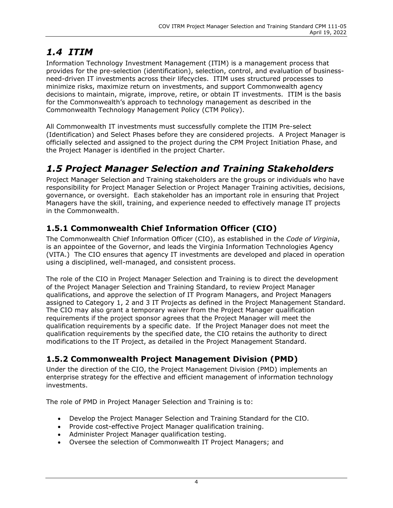# <span id="page-5-0"></span>*1.4 ITIM*

Information Technology Investment Management (ITIM) is a management process that provides for the pre-selection (identification), selection, control, and evaluation of businessneed-driven IT investments across their lifecycles. ITIM uses structured processes to minimize risks, maximize return on investments, and support Commonwealth agency decisions to maintain, migrate, improve, retire, or obtain IT investments. ITIM is the basis for the Commonwealth's approach to technology management as described in the Commonwealth Technology Management Policy (CTM Policy).

All Commonwealth IT investments must successfully complete the ITIM Pre-select (Identification) and Select Phases before they are considered projects. A Project Manager is officially selected and assigned to the project during the CPM Project Initiation Phase, and the Project Manager is identified in the project Charter.

## <span id="page-5-1"></span>*1.5 Project Manager Selection and Training Stakeholders*

Project Manager Selection and Training stakeholders are the groups or individuals who have responsibility for Project Manager Selection or Project Manager Training activities, decisions, governance, or oversight. Each stakeholder has an important role in ensuring that Project Managers have the skill, training, and experience needed to effectively manage IT projects in the Commonwealth.

### <span id="page-5-2"></span>**1.5.1 Commonwealth Chief Information Officer (CIO)**

The Commonwealth Chief Information Officer (CIO), as established in the *Code of Virginia*, is an appointee of the Governor, and leads the Virginia Information Technologies Agency (VITA.) The CIO ensures that agency IT investments are developed and placed in operation using a disciplined, well-managed, and consistent process.

The role of the CIO in Project Manager Selection and Training is to direct the development of the Project Manager Selection and Training Standard, to review Project Manager qualifications, and approve the selection of IT Program Managers, and Project Managers assigned to Category 1, 2 and 3 IT Projects as defined in the Project Management Standard. The CIO may also grant a temporary waiver from the Project Manager qualification requirements if the project sponsor agrees that the Project Manager will meet the qualification requirements by a specific date. If the Project Manager does not meet the qualification requirements by the specified date, the CIO retains the authority to direct modifications to the IT Project, as detailed in the Project Management Standard.

### <span id="page-5-3"></span>**1.5.2 Commonwealth Project Management Division (PMD)**

Under the direction of the CIO, the Project Management Division (PMD) implements an enterprise strategy for the effective and efficient management of information technology investments.

The role of PMD in Project Manager Selection and Training is to:

- Develop the Project Manager Selection and Training Standard for the CIO.
- Provide cost-effective Project Manager qualification training.
- Administer Project Manager qualification testing.
- Oversee the selection of Commonwealth IT Project Managers; and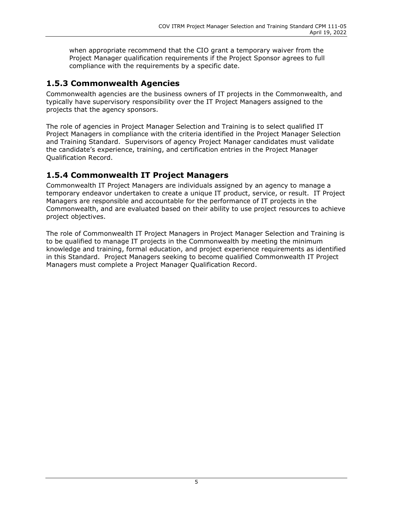when appropriate recommend that the CIO grant a temporary waiver from the Project Manager qualification requirements if the Project Sponsor agrees to full compliance with the requirements by a specific date.

### <span id="page-6-0"></span>**1.5.3 Commonwealth Agencies**

Commonwealth agencies are the business owners of IT projects in the Commonwealth, and typically have supervisory responsibility over the IT Project Managers assigned to the projects that the agency sponsors.

The role of agencies in Project Manager Selection and Training is to select qualified IT Project Managers in compliance with the criteria identified in the Project Manager Selection and Training Standard. Supervisors of agency Project Manager candidates must validate the candidate's experience, training, and certification entries in the Project Manager Qualification Record.

### <span id="page-6-1"></span>**1.5.4 Commonwealth IT Project Managers**

Commonwealth IT Project Managers are individuals assigned by an agency to manage a temporary endeavor undertaken to create a unique IT product, service, or result. IT Project Managers are responsible and accountable for the performance of IT projects in the Commonwealth, and are evaluated based on their ability to use project resources to achieve project objectives.

The role of Commonwealth IT Project Managers in Project Manager Selection and Training is to be qualified to manage IT projects in the Commonwealth by meeting the minimum knowledge and training, formal education, and project experience requirements as identified in this Standard. Project Managers seeking to become qualified Commonwealth IT Project Managers must complete a Project Manager Qualification Record.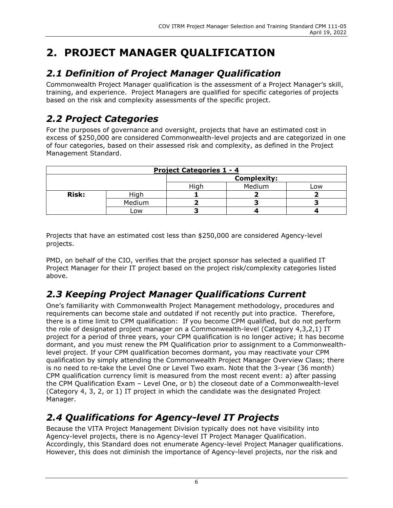# <span id="page-7-0"></span>**2. PROJECT MANAGER QUALIFICATION**

# <span id="page-7-1"></span>*2.1 Definition of Project Manager Qualification*

Commonwealth Project Manager qualification is the assessment of a Project Manager's skill, training, and experience. Project Managers are qualified for specific categories of projects based on the risk and complexity assessments of the specific project.

# <span id="page-7-2"></span>*2.2 Project Categories*

For the purposes of governance and oversight, projects that have an estimated cost in excess of \$250,000 are considered Commonwealth-level projects and are categorized in one of four categories, based on their assessed risk and complexity, as defined in the Project Management Standard.

| <b>Project Categories 1 - 4</b> |               |                    |  |  |  |  |
|---------------------------------|---------------|--------------------|--|--|--|--|
|                                 |               | <b>Complexity:</b> |  |  |  |  |
|                                 | Medium<br>.ow |                    |  |  |  |  |
| <b>Risk:</b>                    | High          |                    |  |  |  |  |
|                                 | Medium        |                    |  |  |  |  |
|                                 | LOW           |                    |  |  |  |  |

Projects that have an estimated cost less than \$250,000 are considered Agency-level projects.

PMD, on behalf of the CIO, verifies that the project sponsor has selected a qualified IT Project Manager for their IT project based on the project risk/complexity categories listed above.

# <span id="page-7-3"></span>*2.3 Keeping Project Manager Qualifications Current*

One's familiarity with Commonwealth Project Management methodology, procedures and requirements can become stale and outdated if not recently put into practice. Therefore, there is a time limit to CPM qualification: If you become CPM qualified, but do not perform the role of designated project manager on a Commonwealth-level (Category 4,3,2,1) IT project for a period of three years, your CPM qualification is no longer active; it has become dormant, and you must renew the PM Qualification prior to assignment to a Commonwealthlevel project. If your CPM qualification becomes dormant, you may reactivate your CPM qualification by simply attending the Commonwealth Project Manager Overview Class; there is no need to re-take the Level One or Level Two exam. Note that the 3-year (36 month) CPM qualification currency limit is measured from the most recent event: a) after passing the CPM Qualification Exam – Level One, or b) the closeout date of a Commonwealth-level (Category 4, 3, 2, or 1) IT project in which the candidate was the designated Project Manager.

# <span id="page-7-4"></span>*2.4 Qualifications for Agency-level IT Projects*

Because the VITA Project Management Division typically does not have visibility into Agency-level projects, there is no Agency-level IT Project Manager Qualification. Accordingly, this Standard does not enumerate Agency-level Project Manager qualifications. However, this does not diminish the importance of Agency-level projects, nor the risk and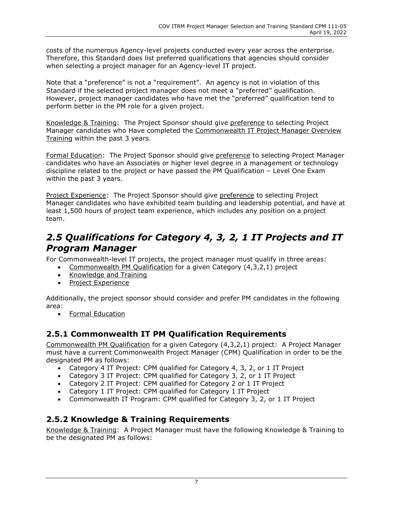costs of the numerous Agency-level projects conducted every year across the enterprise. Therefore, this Standard does list preferred qualifications that agencies should consider when selecting a project manager for an Agency-level IT project.

Note that a "preference" is not a "requirement". An agency is not in violation of this Standard if the selected project manager does not meet a "preferred" qualification. However, project manager candidates who have met the "preferred" qualification tend to perform better in the PM role for a given project.

Knowledge & Training: The Project Sponsor should give preference to selecting Project Manager candidates who Have completed the Commonwealth IT Project Manager Overview Training within the past 3 years.

Formal Education: The Project Sponsor should give preference to selecting Project Manager candidates who have an Associates or higher level degree in a management or technology discipline related to the project or have passed the PM Qualification – Level One Exam within the past 3 years.

Project Experience: The Project Sponsor should give preference to selecting Project Manager candidates who have exhibited team building and leadership potential, and have at least 1,500 hours of project team experience, which includes any position on a project team.

## <span id="page-8-0"></span>*2.5 Qualifications for Category 4, 3, 2, 1 IT Projects and IT Program Manager*

For Commonwealth-level IT projects, the project manager must qualify in three areas:

- Commonwealth PM Qualification for a given Category (4,3,2,1) project
- Knowledge and Training
- Project Experience

Additionally, the project sponsor should consider and prefer PM candidates in the following area:

• Formal Education

#### <span id="page-8-1"></span>**2.5.1 Commonwealth IT PM Qualification Requirements**

Commonwealth PM Qualification for a given Category (4,3,2,1) project: A Project Manager must have a current Commonwealth Project Manager (CPM) Qualification in order to be the designated PM as follows:

- Category 4 IT Project: CPM qualified for Category 4, 3, 2, or 1 IT Project
- Category 3 IT Project: CPM qualified for Category 3, 2, or 1 IT Project
- Category 2 IT Project: CPM qualified for Category 2 or 1 IT Project
- Category 1 IT Project: CPM qualified for Category 1 IT Project
- Commonwealth IT Program: CPM qualified for Category 3, 2, or 1 IT Project

#### <span id="page-8-2"></span>**2.5.2 Knowledge & Training Requirements**

Knowledge & Training: A Project Manager must have the following Knowledge & Training to be the designated PM as follows: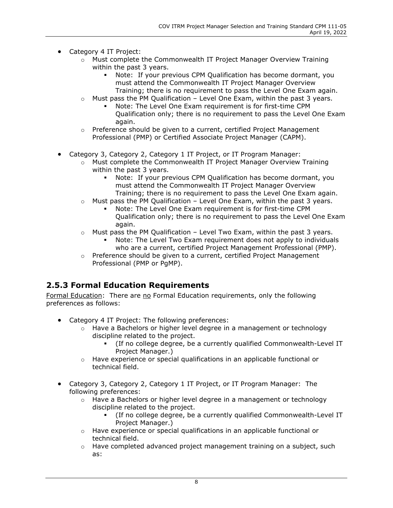- Category 4 IT Project:
	- $\circ$  Must complete the Commonwealth IT Project Manager Overview Training within the past 3 years.
		- Note: If your previous CPM Qualification has become dormant, you must attend the Commonwealth IT Project Manager Overview Training; there is no requirement to pass the Level One Exam again.
	- $\circ$  Must pass the PM Qualification Level One Exam, within the past 3 years.
		- Note: The Level One Exam requirement is for first-time CPM Qualification only; there is no requirement to pass the Level One Exam again.
	- o Preference should be given to a current, certified Project Management Professional (PMP) or Certified Associate Project Manager (CAPM).
- Category 3, Category 2, Category 1 IT Project, or IT Program Manager:
	- $\circ$  Must complete the Commonwealth IT Project Manager Overview Training within the past 3 years.
		- Note: If your previous CPM Qualification has become dormant, you must attend the Commonwealth IT Project Manager Overview Training; there is no requirement to pass the Level One Exam again.
	- o Must pass the PM Qualification Level One Exam, within the past 3 years.
		- Note: The Level One Exam requirement is for first-time CPM Qualification only; there is no requirement to pass the Level One Exam again.
	- $\circ$  Must pass the PM Qualification Level Two Exam, within the past 3 years.
		- Note: The Level Two Exam requirement does not apply to individuals who are a current, certified Project Management Professional (PMP).
	- o Preference should be given to a current, certified Project Management Professional (PMP or PgMP).

### <span id="page-9-0"></span>**2.5.3 Formal Education Requirements**

Formal Education: There are no Formal Education requirements, only the following preferences as follows:

- Category 4 IT Project: The following preferences:
	- $\circ$  Have a Bachelors or higher level degree in a management or technology discipline related to the project.
		- (If no college degree, be a currently qualified Commonwealth-Level IT Project Manager.)
	- o Have experience or special qualifications in an applicable functional or technical field.
- Category 3, Category 2, Category 1 IT Project, or IT Program Manager: The following preferences:
	- $\circ$  Have a Bachelors or higher level degree in a management or technology discipline related to the project.
		- (If no college degree, be a currently qualified Commonwealth-Level IT Project Manager.)
	- o Have experience or special qualifications in an applicable functional or technical field.
	- $\circ$  Have completed advanced project management training on a subject, such as: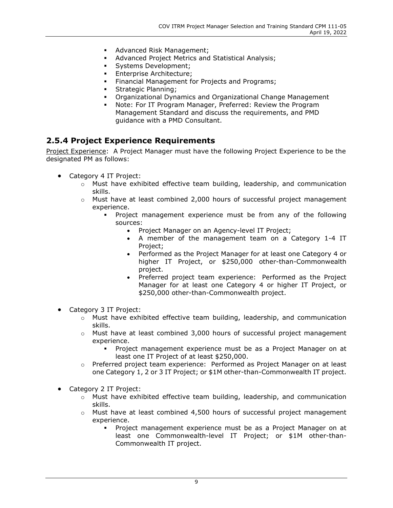- **Advanced Risk Management;**
- Advanced Project Metrics and Statistical Analysis;
- **Systems Development;**
- **Enterprise Architecture;**
- Financial Management for Projects and Programs;
- **Strategic Planning;**
- Organizational Dynamics and Organizational Change Management
- Note: For IT Program Manager, Preferred: Review the Program Management Standard and discuss the requirements, and PMD guidance with a PMD Consultant.

#### <span id="page-10-0"></span>**2.5.4 Project Experience Requirements**

Project Experience: A Project Manager must have the following Project Experience to be the designated PM as follows:

- Category 4 IT Project:
	- $\circ$  Must have exhibited effective team building, leadership, and communication skills.
	- $\circ$  Must have at least combined 2,000 hours of successful project management experience.
		- Project management experience must be from any of the following sources:
			- Project Manager on an Agency-level IT Project;
			- A member of the management team on a Category 1-4 IT Project;
			- Performed as the Project Manager for at least one Category 4 or higher IT Project, or \$250,000 other-than-Commonwealth project.
			- Preferred project team experience: Performed as the Project Manager for at least one Category 4 or higher IT Project, or \$250,000 other-than-Commonwealth project.
- Category 3 IT Project:
	- o Must have exhibited effective team building, leadership, and communication skills.
	- $\circ$  Must have at least combined 3,000 hours of successful project management experience.
		- Project management experience must be as a Project Manager on at least one IT Project of at least \$250,000.
	- o Preferred project team experience: Performed as Project Manager on at least one Category 1, 2 or 3 IT Project; or \$1M other-than-Commonwealth IT project.
- Category 2 IT Project:
	- o Must have exhibited effective team building, leadership, and communication skills.
	- o Must have at least combined 4,500 hours of successful project management experience.
		- Project management experience must be as a Project Manager on at least one Commonwealth-level IT Project; or \$1M other-than-Commonwealth IT project.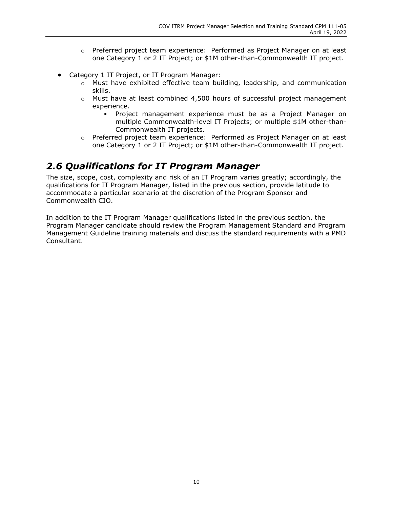- o Preferred project team experience: Performed as Project Manager on at least one Category 1 or 2 IT Project; or \$1M other-than-Commonwealth IT project.
- Category 1 IT Project, or IT Program Manager:
	- $\circ$  Must have exhibited effective team building, leadership, and communication skills.
	- $\circ$  Must have at least combined 4,500 hours of successful project management experience.
		- Project management experience must be as a Project Manager on multiple Commonwealth-level IT Projects; or multiple \$1M other-than-Commonwealth IT projects.
	- o Preferred project team experience: Performed as Project Manager on at least one Category 1 or 2 IT Project; or \$1M other-than-Commonwealth IT project.

## <span id="page-11-0"></span>*2.6 Qualifications for IT Program Manager*

The size, scope, cost, complexity and risk of an IT Program varies greatly; accordingly, the qualifications for IT Program Manager, listed in the previous section, provide latitude to accommodate a particular scenario at the discretion of the Program Sponsor and Commonwealth CIO.

In addition to the IT Program Manager qualifications listed in the previous section, the Program Manager candidate should review the Program Management Standard and Program Management Guideline training materials and discuss the standard requirements with a PMD Consultant.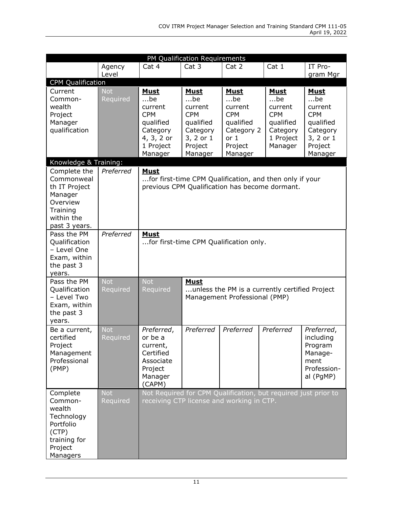| PM Qualification Requirements                                                                                 |                        |                                                                                                                          |                                                                                                           |                                                                                                             |                                                                                                |                                                                                                           |
|---------------------------------------------------------------------------------------------------------------|------------------------|--------------------------------------------------------------------------------------------------------------------------|-----------------------------------------------------------------------------------------------------------|-------------------------------------------------------------------------------------------------------------|------------------------------------------------------------------------------------------------|-----------------------------------------------------------------------------------------------------------|
|                                                                                                               | Agency                 | Cat 4                                                                                                                    | Cat 3                                                                                                     | Cat 2                                                                                                       | Cat 1                                                                                          | IT Pro-                                                                                                   |
|                                                                                                               | Level                  |                                                                                                                          |                                                                                                           |                                                                                                             |                                                                                                | gram Mgr                                                                                                  |
| <b>CPM Qualification</b>                                                                                      |                        |                                                                                                                          |                                                                                                           |                                                                                                             |                                                                                                |                                                                                                           |
| Current<br>Common-<br>wealth<br>Project<br>Manager<br>qualification                                           | <b>Not</b><br>Required | <b>Must</b><br>$$ be<br>current<br><b>CPM</b><br>qualified<br>Category<br>4, 3, 2 or<br>1 Project<br>Manager             | <b>Must</b><br>$$ be<br>current<br><b>CPM</b><br>qualified<br>Category<br>3, 2 or 1<br>Project<br>Manager | <b>Must</b><br>$$ be<br>current<br><b>CPM</b><br>qualified<br>Category 2<br>or 1<br>Project<br>Manager      | <b>Must</b><br>$$ be<br>current<br><b>CPM</b><br>qualified<br>Category<br>1 Project<br>Manager | <b>Must</b><br>$$ be<br>current<br><b>CPM</b><br>qualified<br>Category<br>3, 2 or 1<br>Project<br>Manager |
| Knowledge & Training:                                                                                         |                        |                                                                                                                          |                                                                                                           |                                                                                                             |                                                                                                |                                                                                                           |
| Complete the<br>Commonweal<br>th IT Project<br>Manager<br>Overview<br>Training<br>within the<br>past 3 years. | Preferred              | <b>Must</b>                                                                                                              |                                                                                                           | for first-time CPM Qualification, and then only if your<br>previous CPM Qualification has become dormant.   |                                                                                                |                                                                                                           |
| Pass the PM<br>Qualification<br>- Level One<br>Exam, within<br>the past 3<br>years.                           | Preferred              | <b>Must</b><br>for first-time CPM Qualification only.                                                                    |                                                                                                           |                                                                                                             |                                                                                                |                                                                                                           |
| Pass the PM<br>Qualification<br>- Level Two<br>Exam, within<br>the past 3<br>years.                           | <b>Not</b><br>Required | <b>Not</b><br><b>Must</b><br>Required<br>unless the PM is a currently certified Project<br>Management Professional (PMP) |                                                                                                           |                                                                                                             |                                                                                                |                                                                                                           |
| Be a current,<br>certified<br>Project<br>Management<br>Professional<br>(PMP)                                  | <b>Not</b><br>Required | Preferred,<br>or be a<br>current,<br>Certified<br>Associate<br>Project<br>Manager<br>(CAPM)                              | Preferred                                                                                                 | Preferred                                                                                                   | Preferred                                                                                      | Preferred,<br>including<br>Program<br>Manage-<br>ment<br>Profession-<br>al (PgMP)                         |
| Complete<br>Common-<br>wealth<br>Technology<br>Portfolio<br>(CTP)<br>training for<br>Project<br>Managers      | <b>Not</b><br>Required |                                                                                                                          |                                                                                                           | Not Required for CPM Qualification, but required just prior to<br>receiving CTP license and working in CTP. |                                                                                                |                                                                                                           |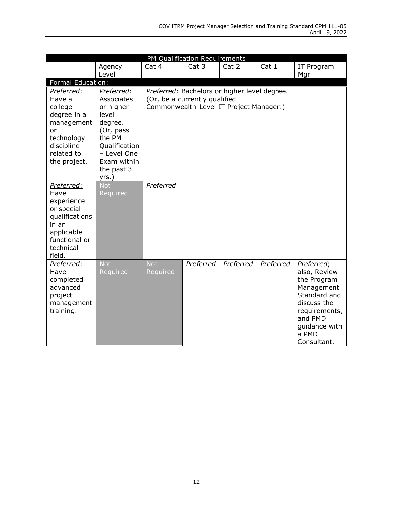| PM Qualification Requirements                                                                                                   |                                                                                                                                                               |                                                                                                                          |           |           |           |                                                                                                                                                             |  |
|---------------------------------------------------------------------------------------------------------------------------------|---------------------------------------------------------------------------------------------------------------------------------------------------------------|--------------------------------------------------------------------------------------------------------------------------|-----------|-----------|-----------|-------------------------------------------------------------------------------------------------------------------------------------------------------------|--|
|                                                                                                                                 | Agency<br>Level                                                                                                                                               | Cat 4                                                                                                                    | Cat 3     | Cat 2     | Cat 1     | IT Program<br>Mgr                                                                                                                                           |  |
| Formal Education:                                                                                                               |                                                                                                                                                               |                                                                                                                          |           |           |           |                                                                                                                                                             |  |
| Preferred:<br>Have a<br>college<br>degree in a<br>management<br>or<br>technology<br>discipline<br>related to<br>the project.    | Preferred:<br><b>Associates</b><br>or higher<br>level<br>degree.<br>(Or, pass<br>the PM<br>Qualification<br>- Level One<br>Exam within<br>the past 3<br>yrs.) | Preferred: Bachelors or higher level degree.<br>(Or, be a currently qualified<br>Commonwealth-Level IT Project Manager.) |           |           |           |                                                                                                                                                             |  |
| Preferred:<br>Have<br>experience<br>or special<br>qualifications<br>in an<br>applicable<br>functional or<br>technical<br>field. | <b>Not</b><br>Required                                                                                                                                        | Preferred                                                                                                                |           |           |           |                                                                                                                                                             |  |
| Preferred:<br>Have<br>completed<br>advanced<br>project<br>management<br>training.                                               | <b>Not</b><br>Required                                                                                                                                        | <b>Not</b><br>Required                                                                                                   | Preferred | Preferred | Preferred | Preferred;<br>also, Review<br>the Program<br>Management<br>Standard and<br>discuss the<br>requirements,<br>and PMD<br>guidance with<br>a PMD<br>Consultant. |  |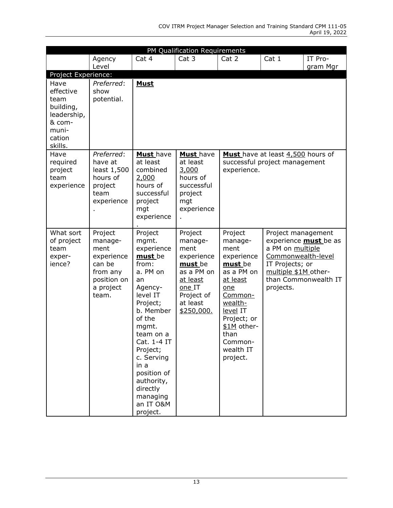|                                                                                               | PM Qualification Requirements                                                                       |                                                                                                                                                                                                                                                                                     |                                                                                                                                 |                                                                                                                                                                                                  |                                                                                                                      |                                                      |  |
|-----------------------------------------------------------------------------------------------|-----------------------------------------------------------------------------------------------------|-------------------------------------------------------------------------------------------------------------------------------------------------------------------------------------------------------------------------------------------------------------------------------------|---------------------------------------------------------------------------------------------------------------------------------|--------------------------------------------------------------------------------------------------------------------------------------------------------------------------------------------------|----------------------------------------------------------------------------------------------------------------------|------------------------------------------------------|--|
|                                                                                               | Agency<br>Level                                                                                     | Cat 4                                                                                                                                                                                                                                                                               | Cat 3                                                                                                                           | Cat 2                                                                                                                                                                                            | Cat 1                                                                                                                | IT Pro-<br>gram Mgr                                  |  |
| Project Experience:                                                                           |                                                                                                     |                                                                                                                                                                                                                                                                                     |                                                                                                                                 |                                                                                                                                                                                                  |                                                                                                                      |                                                      |  |
| Have<br>effective<br>team<br>building,<br>leadership,<br>& com-<br>muni-<br>cation<br>skills. | Preferred:<br>show<br>potential.                                                                    | <b>Must</b>                                                                                                                                                                                                                                                                         |                                                                                                                                 |                                                                                                                                                                                                  |                                                                                                                      |                                                      |  |
| Have<br>required<br>project<br>team<br>experience                                             | Preferred:<br>have at<br>least 1,500<br>hours of<br>project<br>team<br>experience                   | Must have<br>at least<br>combined<br>2,000<br>hours of<br>successful<br>project<br>mgt<br>experience                                                                                                                                                                                | Must have<br>at least<br>3,000<br>hours of<br>successful<br>project<br>mgt<br>experience                                        | Must have at least 4,500 hours of<br>successful project management<br>experience.                                                                                                                |                                                                                                                      |                                                      |  |
| What sort<br>of project<br>team<br>exper-<br>ience?                                           | Project<br>manage-<br>ment<br>experience<br>can be<br>from any<br>position on<br>a project<br>team. | Project<br>mgmt.<br>experience<br>must be<br>from:<br>a. PM on<br>an<br>Agency-<br>level IT<br>Project;<br>b. Member<br>of the<br>mgmt.<br>team on a<br>Cat. 1-4 IT<br>Project;<br>c. Serving<br>in a<br>position of<br>authority,<br>directly<br>managing<br>an IT O&M<br>project. | Project<br>manage-<br>ment<br>experience<br>must be<br>as a PM on<br>at least<br>one IT<br>Project of<br>at least<br>\$250,000. | Project<br>manage-<br>ment<br>experience<br>must be<br>as a PM on<br>at least<br>one<br>Common-<br>wealth-<br>level IT<br>Project; or<br>\$1M other-<br>than<br>Common-<br>wealth IT<br>project. | Project management<br>a PM on multiple<br>Commonwealth-level<br>IT Projects; or<br>multiple \$1M other-<br>projects. | experience <b>must</b> be as<br>than Commonwealth IT |  |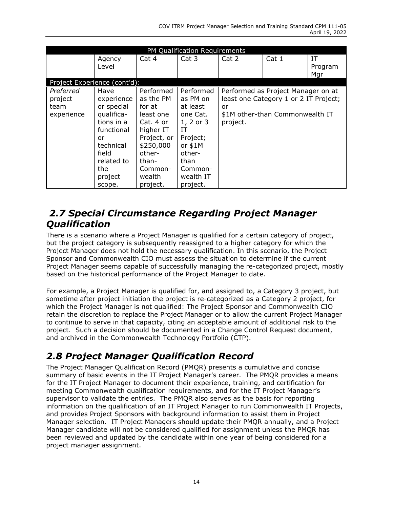| PM Qualification Requirements                     |                                                                                                                                                  |                                                                                                                                                         |                                                                                                                                                |                |                                                                                                                |                      |  |
|---------------------------------------------------|--------------------------------------------------------------------------------------------------------------------------------------------------|---------------------------------------------------------------------------------------------------------------------------------------------------------|------------------------------------------------------------------------------------------------------------------------------------------------|----------------|----------------------------------------------------------------------------------------------------------------|----------------------|--|
|                                                   | Agency<br>Level                                                                                                                                  | Cat 4                                                                                                                                                   | Cat 3                                                                                                                                          | Cat 2          | Cat 1                                                                                                          | IΤ<br>Program<br>Mgr |  |
| Project Experience (cont'd):                      |                                                                                                                                                  |                                                                                                                                                         |                                                                                                                                                |                |                                                                                                                |                      |  |
| <b>Preferred</b><br>project<br>team<br>experience | Have<br>experience<br>or special<br>qualifica-<br>tions in a<br>functional<br>or<br>technical<br>field<br>related to<br>the<br>project<br>scope. | Performed<br>as the PM<br>for at<br>least one<br>Cat. 4 or<br>higher IT<br>Project, or<br>\$250,000<br>other-<br>than-<br>Common-<br>wealth<br>project. | Performed<br>as PM on<br>at least<br>one Cat.<br>1, 2 or 3<br>IT<br>Project;<br>or $$1M$<br>other-<br>than<br>Common-<br>wealth IT<br>project. | or<br>project. | Performed as Project Manager on at<br>least one Category 1 or 2 IT Project;<br>\$1M other-than Commonwealth IT |                      |  |

### <span id="page-15-0"></span>*2.7 Special Circumstance Regarding Project Manager Qualification*

There is a scenario where a Project Manager is qualified for a certain category of project, but the project category is subsequently reassigned to a higher category for which the Project Manager does not hold the necessary qualification. In this scenario, the Project Sponsor and Commonwealth CIO must assess the situation to determine if the current Project Manager seems capable of successfully managing the re-categorized project, mostly based on the historical performance of the Project Manager to date.

For example, a Project Manager is qualified for, and assigned to, a Category 3 project, but sometime after project initiation the project is re-categorized as a Category 2 project, for which the Project Manager is not qualified: The Project Sponsor and Commonwealth CIO retain the discretion to replace the Project Manager or to allow the current Project Manager to continue to serve in that capacity, citing an acceptable amount of additional risk to the project. Such a decision should be documented in a Change Control Request document, and archived in the Commonwealth Technology Portfolio (CTP).

# <span id="page-15-1"></span>*2.8 Project Manager Qualification Record*

The Project Manager Qualification Record (PMQR) presents a cumulative and concise summary of basic events in the IT Project Manager's career. The PMQR provides a means for the IT Project Manager to document their experience, training, and certification for meeting Commonwealth qualification requirements, and for the IT Project Manager's supervisor to validate the entries. The PMQR also serves as the basis for reporting information on the qualification of an IT Project Manager to run Commonwealth IT Projects, and provides Project Sponsors with background information to assist them in Project Manager selection. IT Project Managers should update their PMQR annually, and a Project Manager candidate will not be considered qualified for assignment unless the PMQR has been reviewed and updated by the candidate within one year of being considered for a project manager assignment.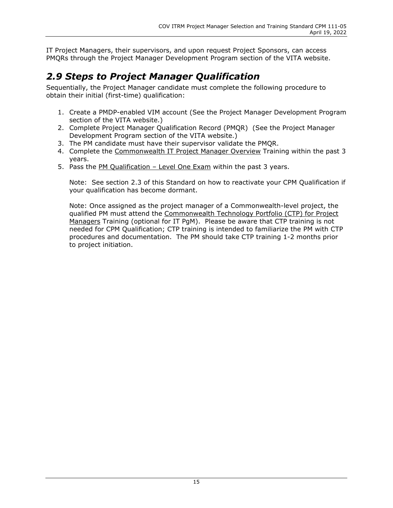IT Project Managers, their supervisors, and upon request Project Sponsors, can access PMQRs through the Project Manager Development Program section of the VITA website.

# <span id="page-16-0"></span>*2.9 Steps to Project Manager Qualification*

Sequentially, the Project Manager candidate must complete the following procedure to obtain their initial (first-time) qualification:

- 1. Create a PMDP-enabled VIM account (See the Project Manager Development Program section of the VITA website.)
- 2. Complete Project Manager Qualification Record (PMQR) (See the Project Manager Development Program section of the VITA website.)
- 3. The PM candidate must have their supervisor validate the PMQR.
- 4. Complete the Commonwealth IT Project Manager Overview Training within the past 3 years.
- 5. Pass the PM Qualification Level One Exam within the past 3 years.

Note: See section 2.3 of this Standard on how to reactivate your CPM Qualification if your qualification has become dormant.

Note: Once assigned as the project manager of a Commonwealth-level project, the qualified PM must attend the Commonwealth Technology Portfolio (CTP) for Project Managers Training (optional for IT PgM). Please be aware that CTP training is not needed for CPM Qualification; CTP training is intended to familiarize the PM with CTP procedures and documentation. The PM should take CTP training 1-2 months prior to project initiation.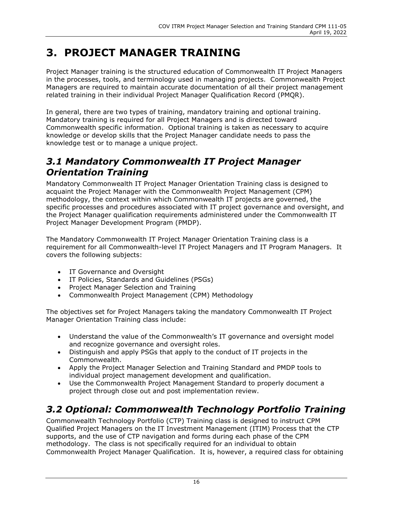# <span id="page-17-0"></span>**3. PROJECT MANAGER TRAINING**

Project Manager training is the structured education of Commonwealth IT Project Managers in the processes, tools, and terminology used in managing projects. Commonwealth Project Managers are required to maintain accurate documentation of all their project management related training in their individual Project Manager Qualification Record (PMQR).

In general, there are two types of training, mandatory training and optional training. Mandatory training is required for all Project Managers and is directed toward Commonwealth specific information. Optional training is taken as necessary to acquire knowledge or develop skills that the Project Manager candidate needs to pass the knowledge test or to manage a unique project.

### <span id="page-17-1"></span>*3.1 Mandatory Commonwealth IT Project Manager Orientation Training*

Mandatory Commonwealth IT Project Manager Orientation Training class is designed to acquaint the Project Manager with the Commonwealth Project Management (CPM) methodology, the context within which Commonwealth IT projects are governed, the specific processes and procedures associated with IT project governance and oversight, and the Project Manager qualification requirements administered under the Commonwealth IT Project Manager Development Program (PMDP).

The Mandatory Commonwealth IT Project Manager Orientation Training class is a requirement for all Commonwealth-level IT Project Managers and IT Program Managers. It covers the following subjects:

- IT Governance and Oversight
- IT Policies, Standards and Guidelines (PSGs)
- Project Manager Selection and Training
- Commonwealth Project Management (CPM) Methodology

The objectives set for Project Managers taking the mandatory Commonwealth IT Project Manager Orientation Training class include:

- Understand the value of the Commonwealth's IT governance and oversight model and recognize governance and oversight roles.
- Distinguish and apply PSGs that apply to the conduct of IT projects in the Commonwealth.
- Apply the Project Manager Selection and Training Standard and PMDP tools to individual project management development and qualification.
- Use the Commonwealth Project Management Standard to properly document a project through close out and post implementation review.

# <span id="page-17-2"></span>*3.2 Optional: Commonwealth Technology Portfolio Training*

Commonwealth Technology Portfolio (CTP) Training class is designed to instruct CPM Qualified Project Managers on the IT Investment Management (ITIM) Process that the CTP supports, and the use of CTP navigation and forms during each phase of the CPM methodology. The class is not specifically required for an individual to obtain Commonwealth Project Manager Qualification. It is, however, a required class for obtaining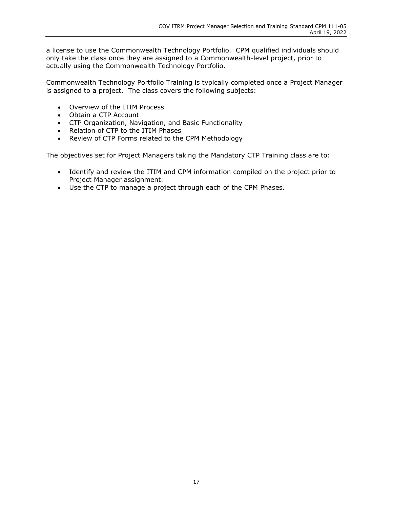a license to use the Commonwealth Technology Portfolio. CPM qualified individuals should only take the class once they are assigned to a Commonwealth-level project, prior to actually using the Commonwealth Technology Portfolio.

Commonwealth Technology Portfolio Training is typically completed once a Project Manager is assigned to a project. The class covers the following subjects:

- Overview of the ITIM Process
- Obtain a CTP Account
- CTP Organization, Navigation, and Basic Functionality
- Relation of CTP to the ITIM Phases
- Review of CTP Forms related to the CPM Methodology

The objectives set for Project Managers taking the Mandatory CTP Training class are to:

- Identify and review the ITIM and CPM information compiled on the project prior to Project Manager assignment.
- Use the CTP to manage a project through each of the CPM Phases.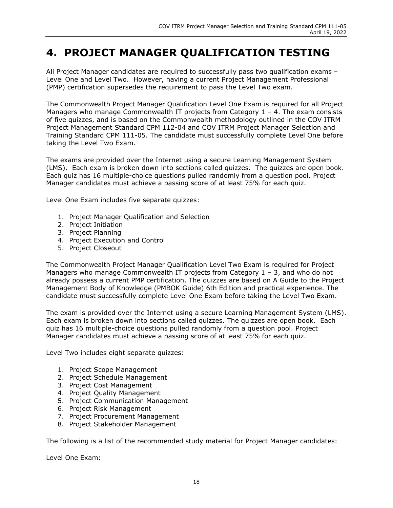# <span id="page-19-0"></span>**4. PROJECT MANAGER QUALIFICATION TESTING**

All Project Manager candidates are required to successfully pass two qualification exams – Level One and Level Two. However, having a current Project Management Professional (PMP) certification supersedes the requirement to pass the Level Two exam.

The Commonwealth Project Manager Qualification Level One Exam is required for all Project Managers who manage Commonwealth IT projects from Category  $1 - 4$ . The exam consists of five quizzes, and is based on the Commonwealth methodology outlined in the COV ITRM Project Management Standard CPM 112-04 and COV ITRM Project Manager Selection and Training Standard CPM 111-05. The candidate must successfully complete Level One before taking the Level Two Exam.

The exams are provided over the Internet using a secure Learning Management System (LMS). Each exam is broken down into sections called quizzes. The quizzes are open book. Each quiz has 16 multiple-choice questions pulled randomly from a question pool. Project Manager candidates must achieve a passing score of at least 75% for each quiz.

Level One Exam includes five separate quizzes:

- 1. Project Manager Qualification and Selection
- 2. Project Initiation
- 3. Project Planning
- 4. Project Execution and Control
- 5. Project Closeout

The Commonwealth Project Manager Qualification Level Two Exam is required for Project Managers who manage Commonwealth IT projects from Category  $1 - 3$ , and who do not already possess a current PMP certification. The quizzes are based on A Guide to the Project Management Body of Knowledge (PMBOK Guide) 6th Edition and practical experience. The candidate must successfully complete Level One Exam before taking the Level Two Exam.

The exam is provided over the Internet using a secure Learning Management System (LMS). Each exam is broken down into sections called quizzes. The quizzes are open book. Each quiz has 16 multiple-choice questions pulled randomly from a question pool. Project Manager candidates must achieve a passing score of at least 75% for each quiz.

Level Two includes eight separate quizzes:

- 1. Project Scope Management
- 2. Project Schedule Management
- 3. Project Cost Management
- 4. Project Quality Management
- 5. Project Communication Management
- 6. Project Risk Management
- 7. Project Procurement Management
- 8. Project Stakeholder Management

The following is a list of the recommended study material for Project Manager candidates:

Level One Exam: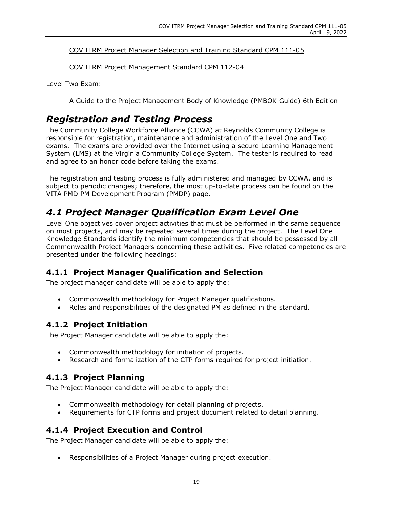COV ITRM Project Manager Selection and Training Standard CPM 111-05

COV ITRM Project Management Standard CPM 112-04

Level Two Exam:

A Guide to the Project Management Body of Knowledge (PMBOK Guide) 6th Edition

## <span id="page-20-0"></span>*Registration and Testing Process*

The Community College Workforce Alliance (CCWA) at Reynolds Community College is responsible for registration, maintenance and administration of the Level One and Two exams. The exams are provided over the Internet using a secure Learning Management System (LMS) at the Virginia Community College System. The tester is required to read and agree to an honor code before taking the exams.

The registration and testing process is fully administered and managed by CCWA, and is subject to periodic changes; therefore, the most up-to-date process can be found on the VITA PMD PM Development Program (PMDP) page.

## <span id="page-20-1"></span>*4.1 Project Manager Qualification Exam Level One*

Level One objectives cover project activities that must be performed in the same sequence on most projects, and may be repeated several times during the project. The Level One Knowledge Standards identify the minimum competencies that should be possessed by all Commonwealth Project Managers concerning these activities. Five related competencies are presented under the following headings:

### <span id="page-20-2"></span>**4.1.1 Project Manager Qualification and Selection**

The project manager candidate will be able to apply the:

- Commonwealth methodology for Project Manager qualifications.
- Roles and responsibilities of the designated PM as defined in the standard.

### <span id="page-20-3"></span>**4.1.2 Project Initiation**

The Project Manager candidate will be able to apply the:

- Commonwealth methodology for initiation of projects.
- Research and formalization of the CTP forms required for project initiation.

### <span id="page-20-4"></span>**4.1.3 Project Planning**

The Project Manager candidate will be able to apply the:

- Commonwealth methodology for detail planning of projects.
- Requirements for CTP forms and project document related to detail planning.

### <span id="page-20-5"></span>**4.1.4 Project Execution and Control**

The Project Manager candidate will be able to apply the:

• Responsibilities of a Project Manager during project execution.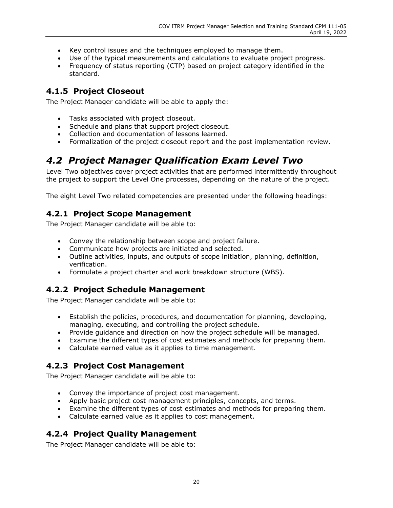- Key control issues and the techniques employed to manage them.
- Use of the typical measurements and calculations to evaluate project progress.
- Frequency of status reporting (CTP) based on project category identified in the standard.

#### <span id="page-21-0"></span>**4.1.5 Project Closeout**

The Project Manager candidate will be able to apply the:

- Tasks associated with project closeout.
- Schedule and plans that support project closeout.
- Collection and documentation of lessons learned.
- Formalization of the project closeout report and the post implementation review.

### <span id="page-21-1"></span>*4.2 Project Manager Qualification Exam Level Two*

Level Two objectives cover project activities that are performed intermittently throughout the project to support the Level One processes, depending on the nature of the project.

The eight Level Two related competencies are presented under the following headings:

#### <span id="page-21-2"></span>**4.2.1 Project Scope Management**

The Project Manager candidate will be able to:

- Convey the relationship between scope and project failure.
- Communicate how projects are initiated and selected.
- Outline activities, inputs, and outputs of scope initiation, planning, definition, verification.
- Formulate a project charter and work breakdown structure (WBS).

### <span id="page-21-3"></span>**4.2.2 Project Schedule Management**

The Project Manager candidate will be able to:

- Establish the policies, procedures, and documentation for planning, developing, managing, executing, and controlling the project schedule.
- Provide guidance and direction on how the project schedule will be managed.
- Examine the different types of cost estimates and methods for preparing them.
- Calculate earned value as it applies to time management.

#### <span id="page-21-4"></span>**4.2.3 Project Cost Management**

The Project Manager candidate will be able to:

- Convey the importance of project cost management.
- Apply basic project cost management principles, concepts, and terms.
- Examine the different types of cost estimates and methods for preparing them.
- Calculate earned value as it applies to cost management.

### <span id="page-21-5"></span>**4.2.4 Project Quality Management**

The Project Manager candidate will be able to: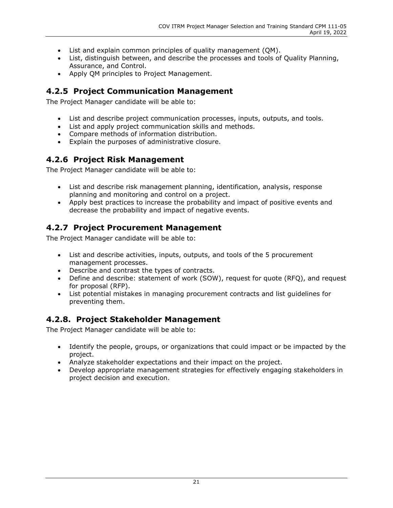- List and explain common principles of quality management (QM).
- List, distinguish between, and describe the processes and tools of Quality Planning, Assurance, and Control.
- Apply QM principles to Project Management.

#### <span id="page-22-0"></span>**4.2.5 Project Communication Management**

The Project Manager candidate will be able to:

- List and describe project communication processes, inputs, outputs, and tools.
- List and apply project communication skills and methods.
- Compare methods of information distribution.
- Explain the purposes of administrative closure.

#### <span id="page-22-1"></span>**4.2.6 Project Risk Management**

The Project Manager candidate will be able to:

- List and describe risk management planning, identification, analysis, response planning and monitoring and control on a project.
- Apply best practices to increase the probability and impact of positive events and decrease the probability and impact of negative events.

### <span id="page-22-2"></span>**4.2.7 Project Procurement Management**

The Project Manager candidate will be able to:

- List and describe activities, inputs, outputs, and tools of the 5 procurement management processes.
- Describe and contrast the types of contracts.
- Define and describe: statement of work (SOW), request for quote (RFQ), and request for proposal (RFP).
- List potential mistakes in managing procurement contracts and list guidelines for preventing them.

#### <span id="page-22-3"></span>**4.2.8. Project Stakeholder Management**

The Project Manager candidate will be able to:

- Identify the people, groups, or organizations that could impact or be impacted by the project.
- Analyze stakeholder expectations and their impact on the project.
- Develop appropriate management strategies for effectively engaging stakeholders in project decision and execution.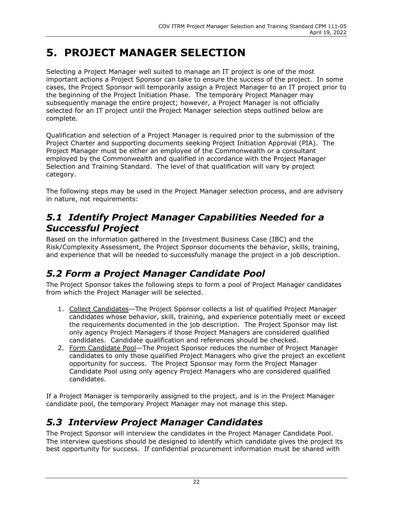# <span id="page-23-0"></span>**5. PROJECT MANAGER SELECTION**

Selecting a Project Manager well suited to manage an IT project is one of the most important actions a Project Sponsor can take to ensure the success of the project. In some cases, the Project Sponsor will temporarily assign a Project Manager to an IT project prior to the beginning of the Project Initiation Phase. The temporary Project Manager may subsequently manage the entire project; however, a Project Manager is not officially selected for an IT project until the Project Manager selection steps outlined below are complete.

Qualification and selection of a Project Manager is required prior to the submission of the Project Charter and supporting documents seeking Project Initiation Approval (PIA). The Project Manager must be either an employee of the Commonwealth or a consultant employed by the Commonwealth and qualified in accordance with the Project Manager Selection and Training Standard. The level of that qualification will vary by project category.

The following steps may be used in the Project Manager selection process, and are advisory in nature, not requirements:

### <span id="page-23-1"></span>*5.1 Identify Project Manager Capabilities Needed for a Successful Project*

Based on the information gathered in the Investment Business Case (IBC) and the Risk/Complexity Assessment, the Project Sponsor documents the behavior, skills, training, and experience that will be needed to successfully manage the project in a job description.

## <span id="page-23-2"></span>*5.2 Form a Project Manager Candidate Pool*

The Project Sponsor takes the following steps to form a pool of Project Manager candidates from which the Project Manager will be selected.

- 1. Collect Candidates—The Project Sponsor collects a list of qualified Project Manager candidates whose behavior, skill, training, and experience potentially meet or exceed the requirements documented in the job description. The Project Sponsor may list only agency Project Managers if those Project Managers are considered qualified candidates. Candidate qualification and references should be checked.
- 2. Form Candidate Pool-The Project Sponsor reduces the number of Project Manager candidates to only those qualified Project Managers who give the project an excellent opportunity for success. The Project Sponsor may form the Project Manager Candidate Pool using only agency Project Managers who are considered qualified candidates.

If a Project Manager is temporarily assigned to the project, and is in the Project Manager candidate pool, the temporary Project Manager may not manage this step.

## <span id="page-23-3"></span>*5.3 Interview Project Manager Candidates*

The Project Sponsor will interview the candidates in the Project Manager Candidate Pool. The interview questions should be designed to identify which candidate gives the project its best opportunity for success. If confidential procurement information must be shared with